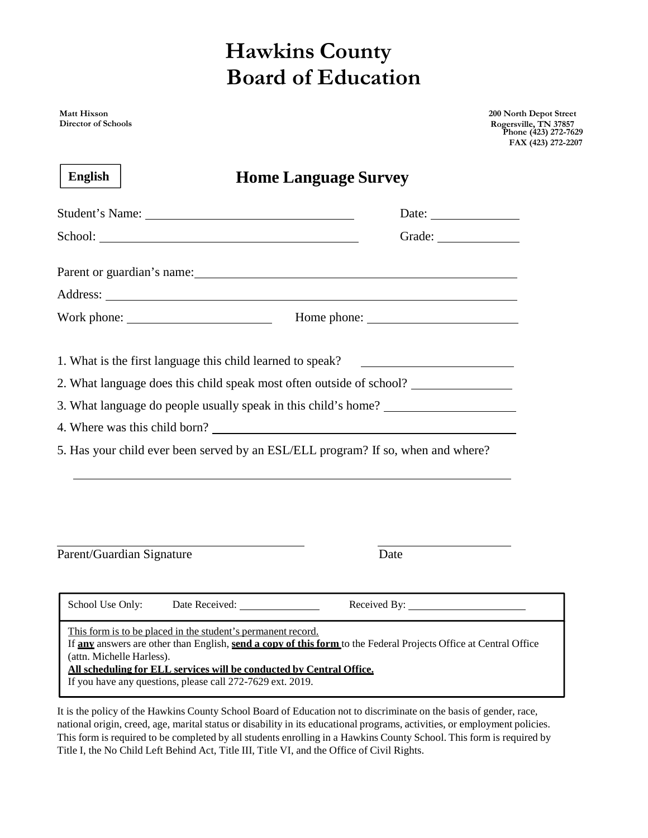## **Hawkins County Board of Education**

**Matt Hixson Director of Schools** **200 North Depot Street Rogersville, TN 37857 Phone (423) 272-7629 FAX (423) 272-2207**

| <b>English</b><br><b>Home Language Survey</b>                                                                                                                                                                                   |                                                                                                                  |
|---------------------------------------------------------------------------------------------------------------------------------------------------------------------------------------------------------------------------------|------------------------------------------------------------------------------------------------------------------|
|                                                                                                                                                                                                                                 | Date:                                                                                                            |
|                                                                                                                                                                                                                                 | Grade:                                                                                                           |
| Parent or guardian's name:                                                                                                                                                                                                      |                                                                                                                  |
|                                                                                                                                                                                                                                 |                                                                                                                  |
|                                                                                                                                                                                                                                 |                                                                                                                  |
| 1. What is the first language this child learned to speak?                                                                                                                                                                      |                                                                                                                  |
| 2. What language does this child speak most often outside of school?                                                                                                                                                            |                                                                                                                  |
| 3. What language do people usually speak in this child's home?                                                                                                                                                                  |                                                                                                                  |
| 4. Where was this child born?                                                                                                                                                                                                   |                                                                                                                  |
| 5. Has your child ever been served by an ESL/ELL program? If so, when and where?                                                                                                                                                |                                                                                                                  |
|                                                                                                                                                                                                                                 |                                                                                                                  |
| Parent/Guardian Signature                                                                                                                                                                                                       | Date                                                                                                             |
| School Use Only:                                                                                                                                                                                                                |                                                                                                                  |
| This form is to be placed in the student's permanent record.<br>(attn. Michelle Harless).<br>All scheduling for ELL services will be conducted by Central Office.<br>If you have any questions, please call 272-7629 ext. 2019. | If any answers are other than English, send a copy of this form to the Federal Projects Office at Central Office |

It is the policy of the Hawkins County School Board of Education not to discriminate on the basis of gender, race, national origin, creed, age, marital status or disability in its educational programs, activities, or employment policies. This form is required to be completed by all students enrolling in a Hawkins County School. This form is required by Title I, the No Child Left Behind Act, Title III, Title VI, and the Office of Civil Rights.